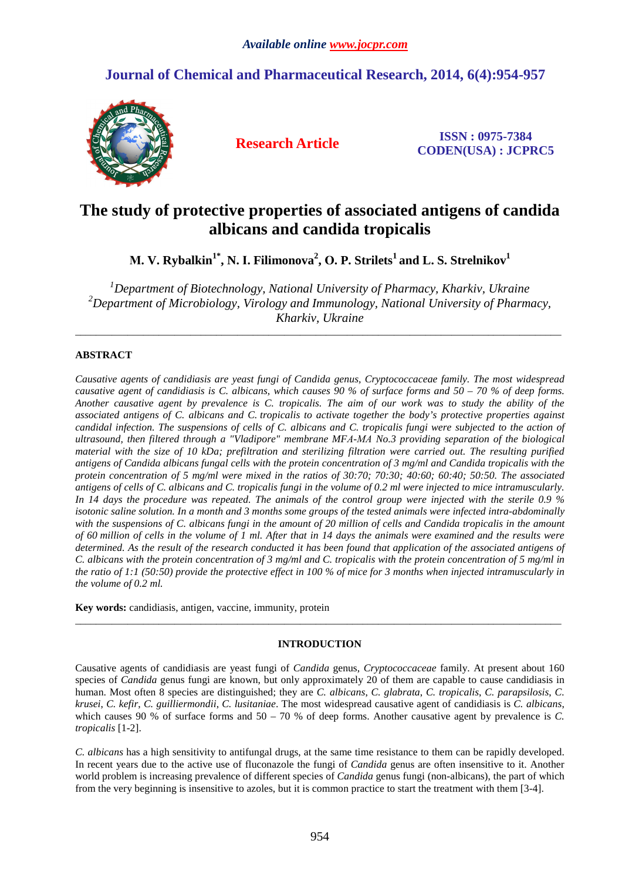# **Journal of Chemical and Pharmaceutical Research, 2014, 6(4):954-957**



**Research Article ISSN : 0975-7384 CODEN(USA) : JCPRC5**

# **The study of protective properties of associated antigens of candida albicans and candida tropicalis**

**М. V. Rybalkin1\*, N. І. Filimonova<sup>2</sup> , О. P. Strilets<sup>1</sup>and L. S. Strelnikov<sup>1</sup>**

*<sup>1</sup>Department of Biotechnology, National University of Pharmacy, Kharkiv, Ukraine <sup>2</sup>Department of Microbiology, Virology and Immunology, National University of Pharmacy, Kharkiv, Ukraine* 

\_\_\_\_\_\_\_\_\_\_\_\_\_\_\_\_\_\_\_\_\_\_\_\_\_\_\_\_\_\_\_\_\_\_\_\_\_\_\_\_\_\_\_\_\_\_\_\_\_\_\_\_\_\_\_\_\_\_\_\_\_\_\_\_\_\_\_\_\_\_\_\_\_\_\_\_\_\_\_\_\_\_\_\_\_\_\_\_\_\_\_\_\_

# **ABSTRACT**

*Causative agents of candidiasis are yeast fungi of Candida genus, Cryptococcaceae family. The most widespread causative agent of candidiasis is C. albicans, which causes 90 % of surface forms and 50 – 70 % of deep forms. Another causative agent by prevalence is C. tropicalis. The aim of our work was to study the ability of the associated antigens of C. albicans and C. tropicalis to activate together the body's protective properties against candidal infection. The suspensions of cells of C. albicans and C. tropicalis fungi were subjected to the action of ultrasound, then filtered through a "Vladipore" membrane MFА-МА No.3 providing separation of the biological material with the size of 10 kDa; prefiltration and sterilizing filtration were carried out. The resulting purified antigens of Candida albicans fungal cells with the protein concentration of 3 mg/ml and Candida tropicalis with the protein concentration of 5 mg/ml were mixed in the ratios of 30:70; 70:30; 40:60; 60:40; 50:50. The associated antigens of cells of C. albicans and C. tropicalis fungi in the volume of 0.2 ml were injected to mice intramuscularly. In 14 days the procedure was repeated. The animals of the control group were injected with the sterile 0.9 % isotonic saline solution. In a month and 3 months some groups of the tested animals were infected intra-abdominally*  with the suspensions of C. albicans fungi in the amount of 20 million of cells and Candida tropicalis in the amount *of 60 million of cells in the volume of 1 ml. After that in 14 days the animals were examined and the results were*  determined. As the result of the research conducted it has been found that application of the associated antigens of *C. albicans with the protein concentration of 3 mg/ml and C. tropicalis with the protein concentration of 5 mg/ml in the ratio of 1:1 (50:50) provide the protective effect in 100 % of mice for 3 months when injected intramuscularly in the volume of 0.2 ml.* 

**Key words:** candidiasis, antigen, vaccine, immunity, protein

## **INTRODUCTION**

\_\_\_\_\_\_\_\_\_\_\_\_\_\_\_\_\_\_\_\_\_\_\_\_\_\_\_\_\_\_\_\_\_\_\_\_\_\_\_\_\_\_\_\_\_\_\_\_\_\_\_\_\_\_\_\_\_\_\_\_\_\_\_\_\_\_\_\_\_\_\_\_\_\_\_\_\_\_\_\_\_\_\_\_\_\_\_\_\_\_\_\_\_

Causative agents of candidiasis are yeast fungi of *Candida* genus, *Cryptococcaceae* family. At present about 160 species of *Candida* genus fungi are known, but only approximately 20 of them are capable to cause candidiasis in human. Most often 8 species are distinguished; they are *C. albicans*, *C. glabrata*, *C. tropicalis*, *C. parapsilosis*, *C. krusei*, *C. kefir*, *C. guilliermondii*, *C. lusitaniae*. The most widespread causative agent of candidiasis is *C. albicans*, which causes 90 % of surface forms and  $50 - 70$  % of deep forms. Another causative agent by prevalence is *C*. *tropicalis* [1-2].

*C. albicans* has a high sensitivity to antifungal drugs, at the same time resistance to them can be rapidly developed. In recent years due to the active use of fluconazole the fungi of *Candida* genus are often insensitive to it. Another world problem is increasing prevalence of different species of *Candida* genus fungi (non-albicans), the part of which from the very beginning is insensitive to azoles, but it is common practice to start the treatment with them [3-4].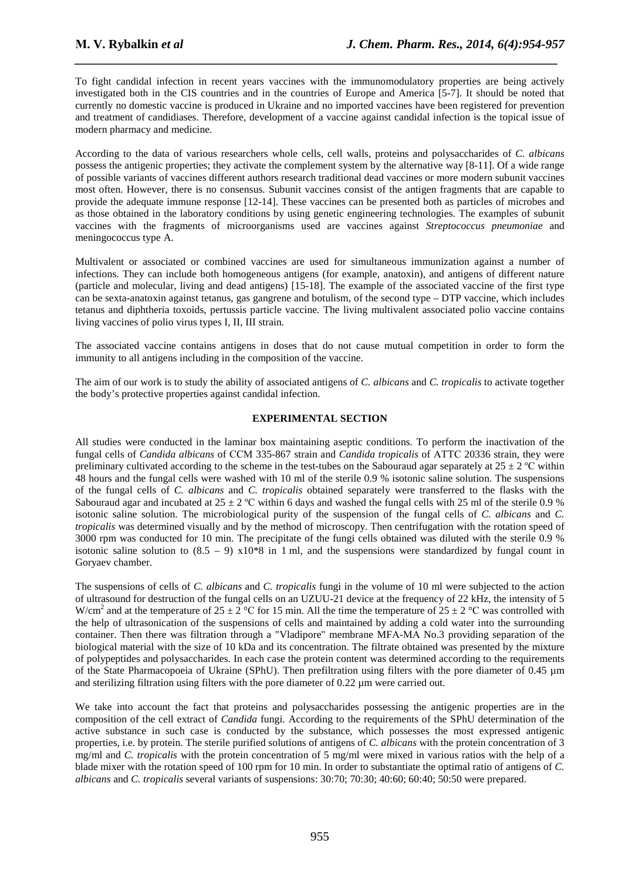To fight candidal infection in recent years vaccines with the immunomodulatory properties are being actively investigated both in the CIS countries and in the countries of Europe and America [5-7]. It should be noted that currently no domestic vaccine is produced in Ukraine and no imported vaccines have been registered for prevention and treatment of candidiases. Therefore, development of a vaccine against candidal infection is the topical issue of modern pharmacy and medicine.

*\_\_\_\_\_\_\_\_\_\_\_\_\_\_\_\_\_\_\_\_\_\_\_\_\_\_\_\_\_\_\_\_\_\_\_\_\_\_\_\_\_\_\_\_\_\_\_\_\_\_\_\_\_\_\_\_\_\_\_\_\_\_\_\_\_\_\_\_\_\_\_\_\_\_\_\_\_*

According to the data of various researchers whole cells, cell walls, proteins and polysaccharides of *C. albicans* possess the antigenic properties; they activate the complement system by the alternative way [8-11]. Of a wide range of possible variants of vaccines different authors research traditional dead vaccines or more modern subunit vaccines most often. However, there is no consensus. Subunit vaccines consist of the antigen fragments that are capable to provide the adequate immune response [12-14]. These vaccines can be presented both as particles of microbes and as those obtained in the laboratory conditions by using genetic engineering technologies. The examples of subunit vaccines with the fragments of microorganisms used are vaccines against *Streptococcus pneumoniae* and meningococcus type A.

Multivalent or associated or combined vaccines are used for simultaneous immunization against a number of infections. They can include both homogeneous antigens (for example, anatoxin), and antigens of different nature (particle and molecular, living and dead antigens) [15-18]. The example of the associated vaccine of the first type can be sexta-anatoxin against tetanus, gas gangrene and botulism, of the second type – DTP vaccine, which includes tetanus and diphtheria toxoids, pertussis particle vaccine. The living multivalent associated polio vaccine contains living vaccines of polio virus types I, II, III strain.

The associated vaccine contains antigens in doses that do not cause mutual competition in order to form the immunity to all antigens including in the composition of the vaccine.

The aim of our work is to study the ability of associated antigens of *C. albicans* and *C. tropicalis* to activate together the body's protective properties against candidal infection.

## **EXPERIMENTAL SECTION**

All studies were conducted in the laminar box maintaining aseptic conditions. To perform the inactivation of the fungal cells of *Candida albicans* of ССМ 335-867 strain and *Candida tropicalis* of АТТС 20336 strain, they were preliminary cultivated according to the scheme in the test-tubes on the Sabouraud agar separately at  $25 \pm 2$  °C within 48 hours and the fungal cells were washed with 10 ml of the sterile 0.9 % isotonic saline solution. The suspensions of the fungal cells of *C. albicans* and *C. tropicalis* obtained separately were transferred to the flasks with the Sabouraud agar and incubated at  $25 \pm 2$  °C within 6 days and washed the fungal cells with 25 ml of the sterile 0.9 % isotonic saline solution. The microbiological purity of the suspension of the fungal cells of *C. albicans* and *C. tropicalis* was determined visually and by the method of microscopy. Then centrifugation with the rotation speed of 3000 rpm was conducted for 10 min. The precipitate of the fungi cells obtained was diluted with the sterile 0.9 % isotonic saline solution to  $(8.5 - 9)$  x10<sup>\*8</sup> in 1 ml, and the suspensions were standardized by fungal count in Goryaev chamber.

The suspensions of cells of *C. albicans* and *C. tropicalis* fungi in the volume of 10 ml were subjected to the action of ultrasound for destruction of the fungal cells on an UZUU-21 device at the frequency of 22 kHz, the intensity of 5 W/cm<sup>2</sup> and at the temperature of 25  $\pm$  2 °C for 15 min. All the time the temperature of 25  $\pm$  2 °C was controlled with the help of ultrasonication of the suspensions of cells and maintained by adding a cold water into the surrounding container. Then there was filtration through a "Vladipore" membrane MFА-МА No.3 providing separation of the biological material with the size of 10 kDa and its concentration. The filtrate obtained was presented by the mixture of polypeptides and polysaccharides. In each case the protein content was determined according to the requirements of the State Pharmacopoeia of Ukraine (SPhU). Then prefiltration using filters with the pore diameter of 0.45 µm and sterilizing filtration using filters with the pore diameter of 0.22 µm were carried out.

We take into account the fact that proteins and polysaccharides possessing the antigenic properties are in the composition of the cell extract of *Candida* fungi. According to the requirements of the SPhU determination of the active substance in such case is conducted by the substance, which possesses the most expressed antigenic properties, i.e. by protein. The sterile purified solutions of antigens of *C. albicans* with the protein concentration of 3 mg/ml and *C. tropicalis* with the protein concentration of 5 mg/ml were mixed in various ratios with the help of a blade mixer with the rotation speed of 100 rpm for 10 min. In order to substantiate the optimal ratio of antigens of *C. albicans* and *C. tropicalis* several variants of suspensions: 30:70; 70:30; 40:60; 60:40; 50:50 were prepared.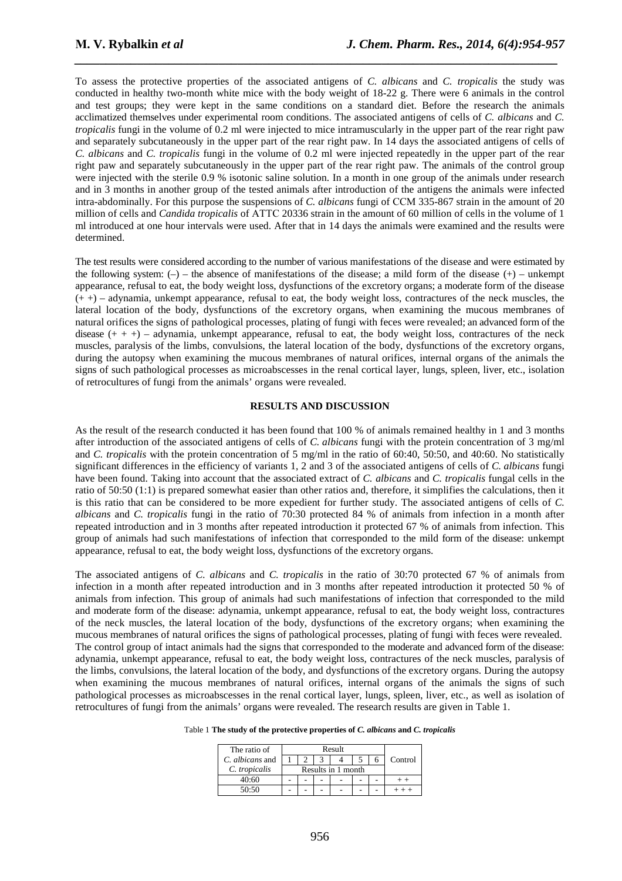To assess the protective properties of the associated antigens of *C. albicans* and *C. tropicalis* the study was conducted in healthy two-month white mice with the body weight of 18-22 g. There were 6 animals in the control and test groups; they were kept in the same conditions on a standard diet. Before the research the animals acclimatized themselves under experimental room conditions. The associated antigens of cells of *C. albicans* and *C. tropicalis* fungi in the volume of 0.2 ml were injected to mice intramuscularly in the upper part of the rear right paw and separately subcutaneously in the upper part of the rear right paw. In 14 days the associated antigens of cells of *C. albicans* and *C. tropicalis* fungi in the volume of 0.2 ml were injected repeatedly in the upper part of the rear right paw and separately subcutaneously in the upper part of the rear right paw. The animals of the control group were injected with the sterile 0.9 % isotonic saline solution. In a month in one group of the animals under research and in 3 months in another group of the tested animals after introduction of the antigens the animals were infected intra-abdominally. For this purpose the suspensions of *C. albicans* fungi of ССМ 335-867 strain in the amount of 20 million of cells and *Candida tropicalis* of АТТС 20336 strain in the amount of 60 million of cells in the volume of 1 ml introduced at one hour intervals were used. After that in 14 days the animals were examined and the results were determined.

*\_\_\_\_\_\_\_\_\_\_\_\_\_\_\_\_\_\_\_\_\_\_\_\_\_\_\_\_\_\_\_\_\_\_\_\_\_\_\_\_\_\_\_\_\_\_\_\_\_\_\_\_\_\_\_\_\_\_\_\_\_\_\_\_\_\_\_\_\_\_\_\_\_\_\_\_\_*

The test results were considered according to the number of various manifestations of the disease and were estimated by the following system:  $(-)$  – the absence of manifestations of the disease; a mild form of the disease  $(+)$  – unkempt appearance, refusal to eat, the body weight loss, dysfunctions of the excretory organs; a moderate form of the disease (+ +) – adynamia, unkempt appearance, refusal to eat, the body weight loss, contractures of the neck muscles, the lateral location of the body, dysfunctions of the excretory organs, when examining the mucous membranes of natural orifices the signs of pathological processes, plating of fungi with feces were revealed; an advanced form of the disease  $(+ + +)$  – adynamia, unkempt appearance, refusal to eat, the body weight loss, contractures of the neck muscles, paralysis of the limbs, convulsions, the lateral location of the body, dysfunctions of the excretory organs, during the autopsy when examining the mucous membranes of natural orifices, internal organs of the animals the signs of such pathological processes as microabscesses in the renal cortical layer, lungs, spleen, liver, etc., isolation of retrocultures of fungi from the animals' organs were revealed.

### **RESULTS AND DISCUSSION**

As the result of the research conducted it has been found that 100 % of animals remained healthy in 1 and 3 months after introduction of the associated antigens of cells of *C. albicans* fungi with the protein concentration of 3 mg/ml and *C. tropicalis* with the protein concentration of 5 mg/ml in the ratio of 60:40, 50:50, and 40:60. No statistically significant differences in the efficiency of variants 1, 2 and 3 of the associated antigens of cells of *C. albicans* fungi have been found. Taking into account that the associated extract of *C. albicans* and *C. tropicalis* fungal cells in the ratio of 50:50 (1:1) is prepared somewhat easier than other ratios and, therefore, it simplifies the calculations, then it is this ratio that can be considered to be more expedient for further study. The associated antigens of cells of *C. albicans* and *C. tropicalis* fungi in the ratio of 70:30 protected 84 % of animals from infection in a month after repeated introduction and in 3 months after repeated introduction it protected 67 % of animals from infection. This group of animals had such manifestations of infection that corresponded to the mild form of the disease: unkempt appearance, refusal to eat, the body weight loss, dysfunctions of the excretory organs.

The associated antigens of *C. albicans* and *C. tropicalis* in the ratio of 30:70 protected 67 % of animals from infection in a month after repeated introduction and in 3 months after repeated introduction it protected 50 % of animals from infection. This group of animals had such manifestations of infection that corresponded to the mild and moderate form of the disease: adynamia, unkempt appearance, refusal to eat, the body weight loss, contractures of the neck muscles, the lateral location of the body, dysfunctions of the excretory organs; when examining the mucous membranes of natural orifices the signs of pathological processes, plating of fungi with feces were revealed. The control group of intact animals had the signs that corresponded to the moderate and advanced form of the disease: adynamia, unkempt appearance, refusal to eat, the body weight loss, contractures of the neck muscles, paralysis of the limbs, convulsions, the lateral location of the body, and dysfunctions of the excretory organs. During the autopsy when examining the mucous membranes of natural orifices, internal organs of the animals the signs of such pathological processes as microabscesses in the renal cortical layer, lungs, spleen, liver, etc., as well as isolation of retrocultures of fungi from the animals' organs were revealed. The research results are given in Table 1.

| Table 1 The study of the protective properties of C. albicans and C. tropicalis |  |  |  |  |
|---------------------------------------------------------------------------------|--|--|--|--|
|---------------------------------------------------------------------------------|--|--|--|--|

| The ratio of    | Result             |  |  |  |  |  |         |
|-----------------|--------------------|--|--|--|--|--|---------|
| C. albicans and |                    |  |  |  |  |  | Control |
| C. tropicalis   | Results in 1 month |  |  |  |  |  |         |
| 40:60           |                    |  |  |  |  |  |         |
| 50:50           |                    |  |  |  |  |  |         |